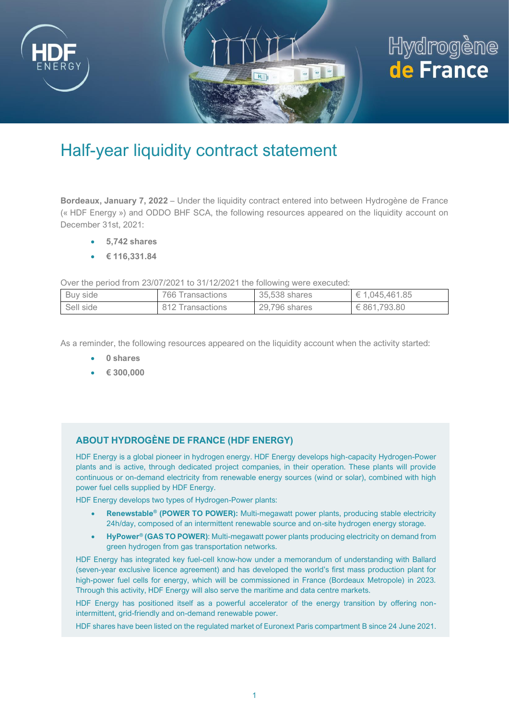

## Hydrogène de France

## Half-year liquidity contract statement

**Bordeaux, January 7, 2022** – Under the liquidity contract entered into between Hydrogène de France (« HDF Energy ») and ODDO BHF SCA, the following resources appeared on the liquidity account on December 31st, 2021:

- **5,742 shares**
- **€ 116,331.84**

Over the period from 23/07/2021 to 31/12/2021 the following were executed:

| Buy side  | 766 Transactions | 35,538 shares | $\in 1,045,461.85$ |
|-----------|------------------|---------------|--------------------|
| Sell side | 812 Transactions | 29,796 shares | € 861.793.80       |

As a reminder, the following resources appeared on the liquidity account when the activity started:

- **0 shares**
- **€ 300,000**

## **ABOUT HYDROGÈNE DE FRANCE (HDF ENERGY)**

HDF Energy is a global pioneer in hydrogen energy. HDF Energy develops high-capacity Hydrogen-Power plants and is active, through dedicated project companies, in their operation. These plants will provide continuous or on-demand electricity from renewable energy sources (wind or solar), combined with high power fuel cells supplied by HDF Energy.

HDF Energy develops two types of Hydrogen-Power plants:

- **Renewstable® (POWER TO POWER):** Multi-megawatt power plants, producing stable electricity 24h/day, composed of an intermittent renewable source and on-site hydrogen energy storage.
- **HyPower® (GAS TO POWER)**: Multi-megawatt power plants producing electricity on demand from green hydrogen from gas transportation networks.

HDF Energy has integrated key fuel-cell know-how under a memorandum of understanding with Ballard (seven-year exclusive licence agreement) and has developed the world's first mass production plant for high-power fuel cells for energy, which will be commissioned in France (Bordeaux Metropole) in 2023. Through this activity, HDF Energy will also serve the maritime and data centre markets.

HDF Energy has positioned itself as a powerful accelerator of the energy transition by offering nonintermittent, grid-friendly and on-demand renewable power.

HDF shares have been listed on the regulated market of Euronext Paris compartment B since 24 June 2021.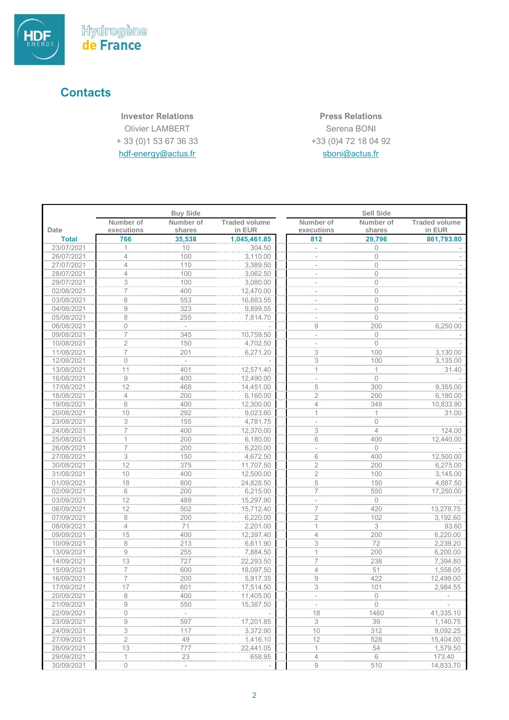

## **Contacts**

**Investor Relations Press Relations** Olivier LAMBERT + 33 (0)1 53 67 36 33 [hdf-energy@actus.fr](mailto:hdf-energy@actus.fr)

Serena BONI +33 (0)4 72 18 04 92 sboni@actus.fr

|              |                         | <b>Buy Side</b>          |                                |                          | <b>Sell Side</b>    |                                |
|--------------|-------------------------|--------------------------|--------------------------------|--------------------------|---------------------|--------------------------------|
| Date         | Number of<br>executions | Number of<br>shares      | <b>Traded volume</b><br>in EUR | Number of<br>executions  | Number of<br>shares | <b>Traded volume</b><br>in EUR |
| <b>Total</b> | 766                     | 35,538                   | 1,045,461.85                   | 812                      | 29,796              | 861,793.80                     |
| 23/07/2021   |                         | 10                       | 304.50                         |                          | $\overline{0}$      |                                |
| 26/07/2021   | $\overline{4}$          | 100                      | 3,110.00                       |                          | $\overline{0}$      |                                |
| 27/07/2021   | 4                       | 110                      | 3,389.50                       |                          | $\Omega$            |                                |
| 28/07/2021   | 4                       | 100                      | 3,062.50                       |                          | $\mathbf 0$         |                                |
| 29/07/2021   | 3                       | 100                      | 3,080.00                       |                          | 0                   |                                |
| 02/08/2021   | $\overline{7}$          | 400                      | 12,470.00                      |                          | $\Omega$            |                                |
| 03/08/2021   | 6                       | 553                      | 16,883.55                      |                          | $\overline{0}$      |                                |
| 04/08/2021   | 9                       | 323                      | 9,899.55                       | $\overline{a}$           | $\mathbf 0$         |                                |
| 05/08/2021   | 8                       | 255                      | 7,814.70                       |                          | $\mathbf{0}$        |                                |
| 06/08/2021   | 0                       | $\sim$                   |                                | $\hbox{9}$               | 200                 | 6,250.00                       |
| 09/08/2021   | $\overline{7}$          | 345                      | 10,759.50                      |                          | $\mathbf{0}$        |                                |
|              |                         | 150                      |                                |                          | $\Omega$            |                                |
| 10/08/2021   | $\overline{2}$          |                          | 4,702.50                       |                          |                     |                                |
| 11/08/2021   | 7<br>$\overline{0}$     | 201                      | 6,271.20                       | 3                        | 100                 | 3,130.00                       |
| 12/08/2021   |                         |                          |                                | $\sqrt{3}$               | 100                 | 3,135.00                       |
| 13/08/2021   | 11                      | 401                      | 12,571.40                      | 1                        | 1                   | 31.40                          |
| 16/08/2021   | 9                       | 400                      | 12,490.00                      | i.                       | $\Omega$            |                                |
| 17/08/2021   | 12                      | 468                      | 14,451.00                      | $\frac{5}{2}$            | 300                 | 9,355.00                       |
| 18/08/2021   | $\overline{4}$          | 200                      | 6,160.00                       |                          | 200                 | 6,190.00                       |
| 19/08/2021   | 6                       | 400                      | 12,300.00                      | $\overline{4}$           | 349                 | 10,833.90                      |
| 20/08/2021   | 10                      | 292                      | 9,023.60                       | 1                        | 1                   | 31.00                          |
| 23/08/2021   | 3                       | 155                      | 4,781.75                       | $\overline{\phantom{0}}$ | $\overline{0}$      |                                |
| 24/08/2021   | 7                       | 400                      | 12,370.00                      | 3                        | $\overline{4}$      | 124.00                         |
| 25/08/2021   | 1                       | 200                      | 6,180.00                       | 6                        | 400                 | 12,440.00                      |
| 26/08/2021   | $\overline{7}$          | 200                      | 6,220.00                       | $\bar{a}$                | $\Omega$            |                                |
| 27/08/2021   | 3                       | 150                      | 4,672.50                       | 6                        | 400                 | 12,500.00                      |
| 30/08/2021   | 12                      | 375                      | 11,707.50                      | $\overline{2}$           | 200                 | 6,275.00                       |
| 31/08/2021   | 10                      | 400                      | 12,500.00                      | $\overline{2}$           | 100                 | 3,145.00                       |
| 01/09/2021   | 18                      | 800                      | 24,828.50                      | $\mathbf 5$              | 150                 | 4,687.50                       |
| 02/09/2021   | 6                       | 200                      | 6,215.00                       | $\overline{7}$           | 550                 | 17,250.00                      |
| 03/09/2021   | 12                      | 489                      | 15,297.90                      |                          | $\overline{0}$      |                                |
| 06/09/2021   | 12                      | 502                      | 15,712.40                      | 7                        | 420                 | 13,278.75                      |
| 07/09/2021   | 8                       | 200                      | 6,220.00                       | $\overline{2}$           | 102                 | 3,192.60                       |
| 08/09/2021   | 4                       | 71                       | 2,201.00                       | 1                        | 3                   | 93.60                          |
| 09/09/2021   | 15                      | 400                      | 12,397.40                      | $\overline{4}$           | 200                 | 6,220.00                       |
| 10/09/2021   | 8                       | 213                      | 6,611.90                       | 3                        | 72                  | 2,239.20                       |
| 13/09/2021   | 9                       | 255                      | 7,884.50                       | 1                        | 200                 | 6,200.00                       |
| 14/09/2021   | 13                      | 727                      | 22,293.50                      | $\overline{7}$           | 238                 | 7,394.80                       |
| 15/09/2021   | 7                       | 600                      | 18,097.50                      | $\overline{4}$           | 51                  | 1,558.05                       |
| 16/09/2021   | $\overline{7}$          | 200                      | 5,917.35                       | $\hbox{9}$               | 422                 | 12,499.00                      |
| 17/09/2021   | 17                      | 601                      | 17,514.50                      | 3                        | 101                 | 2,984.55                       |
| 20/09/2021   | 8                       | 400                      | 11,405.00                      |                          | $\mathbf{0}$        |                                |
| 21/09/2021   | 9                       | 550                      | 15,387.50                      |                          | $\mathbf 0$         |                                |
| 22/09/2021   | $\circ$                 | $\overline{\phantom{a}}$ |                                | 18                       | 1460                | 41,335.10                      |
| 23/09/2021   | $\hbox{9}$              | 597                      | 17,201.85                      | $\sqrt{3}$               | 39                  | 1,140.75                       |
| 24/09/2021   | $\overline{\mathbf{3}}$ | 117                      | 3,372.90                       | 10                       | 312                 | 9,092.25                       |
| 27/09/2021   | $\overline{2}$          | 49                       | 1,416.10                       | 12                       | 528                 | 15,404.00                      |
| 28/09/2021   | 13                      | 777                      | 22,441.05                      | $\mathbf{1}$             | 54                  | 1,579.50                       |
| 29/09/2021   | 1                       | 23                       | 658.95                         | 4                        | 6                   | 173.40                         |
| 30/09/2021   | 0                       | $\overline{\phantom{a}}$ |                                | 9                        | 510                 | 14,833.70                      |